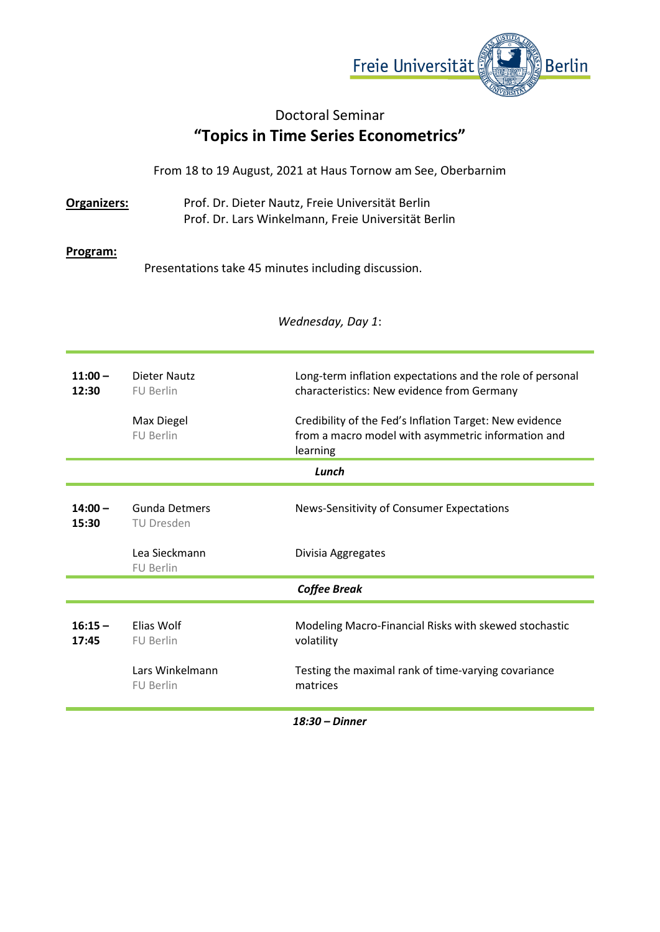

## Doctoral Seminar **"Topics in Time Series Econometrics"**

From 18 to 19 August, 2021 at Haus Tornow am See, Oberbarnim

**Organizers:** Prof. Dr. Dieter Nautz, Freie Universität Berlin Prof. Dr. Lars Winkelmann, Freie Universität Berlin

## **Program:**

Presentations take 45 minutes including discussion.

*Wednesday, Day 1*:

| $11:00-$<br>12:30  | Dieter Nautz<br><b>FU Berlin</b><br><b>Max Diegel</b><br><b>FU Berlin</b> | Long-term inflation expectations and the role of personal<br>characteristics: New evidence from Germany<br>Credibility of the Fed's Inflation Target: New evidence<br>from a macro model with asymmetric information and<br>learning |  |
|--------------------|---------------------------------------------------------------------------|--------------------------------------------------------------------------------------------------------------------------------------------------------------------------------------------------------------------------------------|--|
| Lunch              |                                                                           |                                                                                                                                                                                                                                      |  |
| $14:00 -$<br>15:30 | Gunda Detmers<br>TU Dresden                                               | News-Sensitivity of Consumer Expectations                                                                                                                                                                                            |  |
|                    | Lea Sieckmann<br><b>FU Berlin</b>                                         | Divisia Aggregates                                                                                                                                                                                                                   |  |
|                    |                                                                           | <b>Coffee Break</b>                                                                                                                                                                                                                  |  |
| $16:15 -$<br>17:45 | Elias Wolf<br><b>FU Berlin</b>                                            | Modeling Macro-Financial Risks with skewed stochastic<br>volatility                                                                                                                                                                  |  |
|                    | Lars Winkelmann<br><b>FU Berlin</b>                                       | Testing the maximal rank of time-varying covariance<br>matrices                                                                                                                                                                      |  |

*18:30 – Dinner*